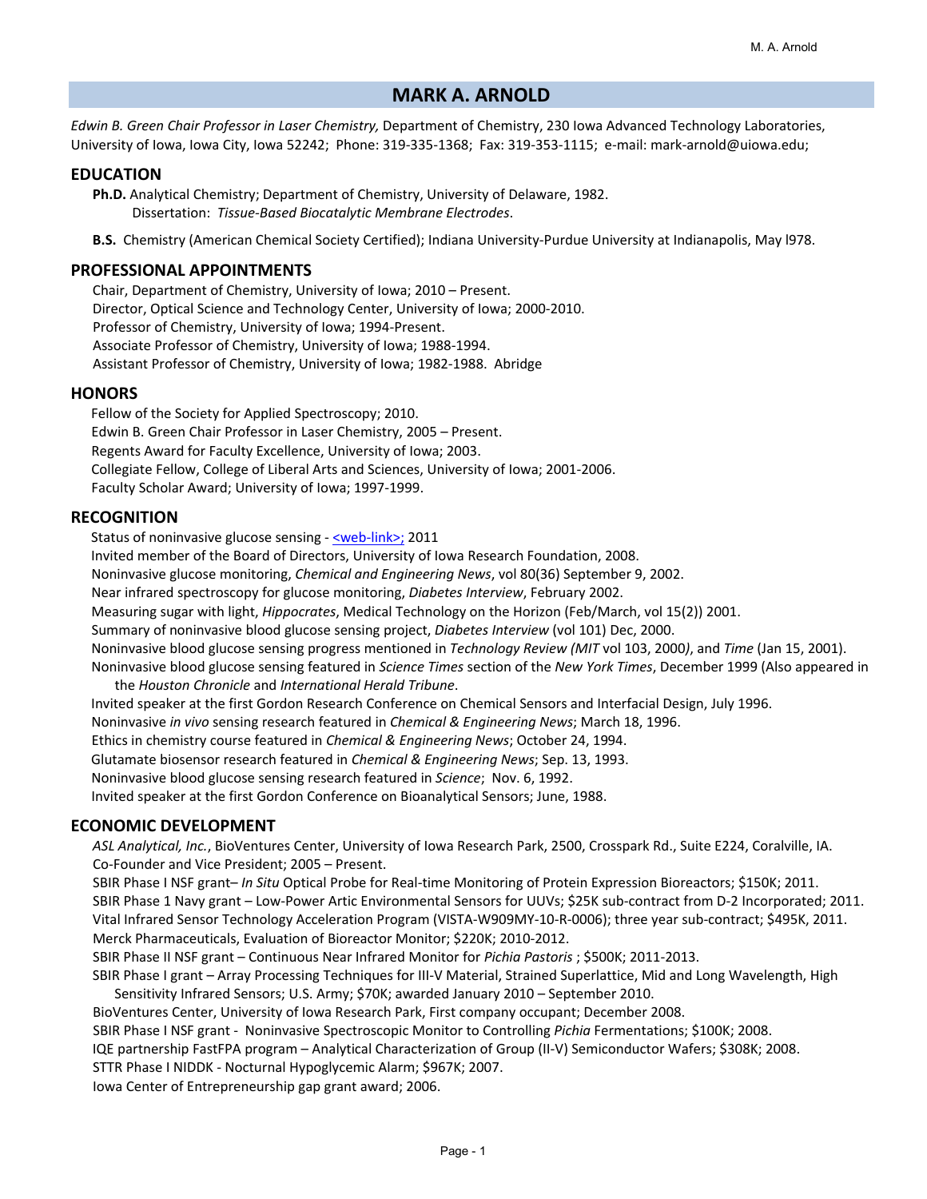# **MARK A. ARNOLD**

*Edwin B. Green Chair Professor in Laser Chemistry,* Department of Chemistry, 230 Iowa Advanced Technology Laboratories, University of Iowa, Iowa City, Iowa 52242; Phone: 319‐335‐1368; Fax: 319‐353‐1115; e‐mail: mark‐arnold@uiowa.edu;

## **EDUCATION**

**Ph.D.** Analytical Chemistry; Department of Chemistry, University of Delaware, 1982. Dissertation: *Tissue‐Based Biocatalytic Membrane Electrodes*.

**B.S.** Chemistry (American Chemical Society Certified); Indiana University‐Purdue University at Indianapolis, May l978.

### **PROFESSIONAL APPOINTMENTS**

Chair, Department of Chemistry, University of Iowa; 2010 – Present. Director, Optical Science and Technology Center, University of Iowa; 2000‐2010. Professor of Chemistry, University of Iowa; 1994‐Present. Associate Professor of Chemistry, University of Iowa; 1988‐1994. Assistant Professor of Chemistry, University of Iowa; 1982‐1988. Abridge

#### **HONORS**

Fellow of the Society for Applied Spectroscopy; 2010. Edwin B. Green Chair Professor in Laser Chemistry, 2005 – Present. Regents Award for Faculty Excellence, University of Iowa; 2003. Collegiate Fellow, College of Liberal Arts and Sciences, University of Iowa; 2001‐2006. Faculty Scholar Award; University of Iowa; 1997‐1999.

## **RECOGNITION**

Status of noninvasive glucose sensing - <u><web-link></u>; 2011

Invited member of the Board of Directors, University of Iowa Research Foundation, 2008.

Noninvasive glucose monitoring, *Chemical and Engineering News*, vol 80(36) September 9, 2002.

Near infrared spectroscopy for glucose monitoring, *Diabetes Interview*, February 2002.

Measuring sugar with light, *Hippocrates*, Medical Technology on the Horizon (Feb/March, vol 15(2)) 2001.

Summary of noninvasive blood glucose sensing project, *Diabetes Interview* (vol 101) Dec, 2000.

Noninvasive blood glucose sensing progress mentioned in *Technology Review (MIT* vol 103, 2000*)*, and *Time* (Jan 15, 2001).

Noninvasive blood glucose sensing featured in *Science Times* section of the *New York Times*, December 1999 (Also appeared in the *Houston Chronicle* and *International Herald Tribune*.

Invited speaker at the first Gordon Research Conference on Chemical Sensors and Interfacial Design, July 1996.

Noninvasive *in vivo* sensing research featured in *Chemical & Engineering News*; March 18, 1996.

Ethics in chemistry course featured in *Chemical & Engineering News*; October 24, 1994.

Glutamate biosensor research featured in *Chemical & Engineering News*; Sep. 13, 1993.

Noninvasive blood glucose sensing research featured in *Science*; Nov. 6, 1992.

Invited speaker at the first Gordon Conference on Bioanalytical Sensors; June, 1988.

### **ECONOMIC DEVELOPMENT**

*ASL Analytical, Inc.*, BioVentures Center, University of Iowa Research Park, 2500, Crosspark Rd., Suite E224, Coralville, IA. Co‐Founder and Vice President; 2005 – Present.

SBIR Phase I NSF grant– *In Situ* Optical Probe for Real‐time Monitoring of Protein Expression Bioreactors; \$150K; 2011. SBIR Phase 1 Navy grant – Low‐Power Artic Environmental Sensors for UUVs; \$25K sub‐contract from D‐2 Incorporated; 2011. Vital Infrared Sensor Technology Acceleration Program (VISTA‐W909MY‐10‐R‐0006); three year sub‐contract; \$495K, 2011. Merck Pharmaceuticals, Evaluation of Bioreactor Monitor; \$220K; 2010‐2012.

SBIR Phase II NSF grant – Continuous Near Infrared Monitor for *Pichia Pastoris* ; \$500K; 2011‐2013.

SBIR Phase I grant – Array Processing Techniques for III‐V Material, Strained Superlattice, Mid and Long Wavelength, High Sensitivity Infrared Sensors; U.S. Army; \$70K; awarded January 2010 – September 2010.

BioVentures Center, University of Iowa Research Park, First company occupant; December 2008.

SBIR Phase I NSF grant ‐ Noninvasive Spectroscopic Monitor to Controlling *Pichia* Fermentations; \$100K; 2008.

IQE partnership FastFPA program – Analytical Characterization of Group (II‐V) Semiconductor Wafers; \$308K; 2008.

STTR Phase I NIDDK ‐ Nocturnal Hypoglycemic Alarm; \$967K; 2007.

Iowa Center of Entrepreneurship gap grant award; 2006.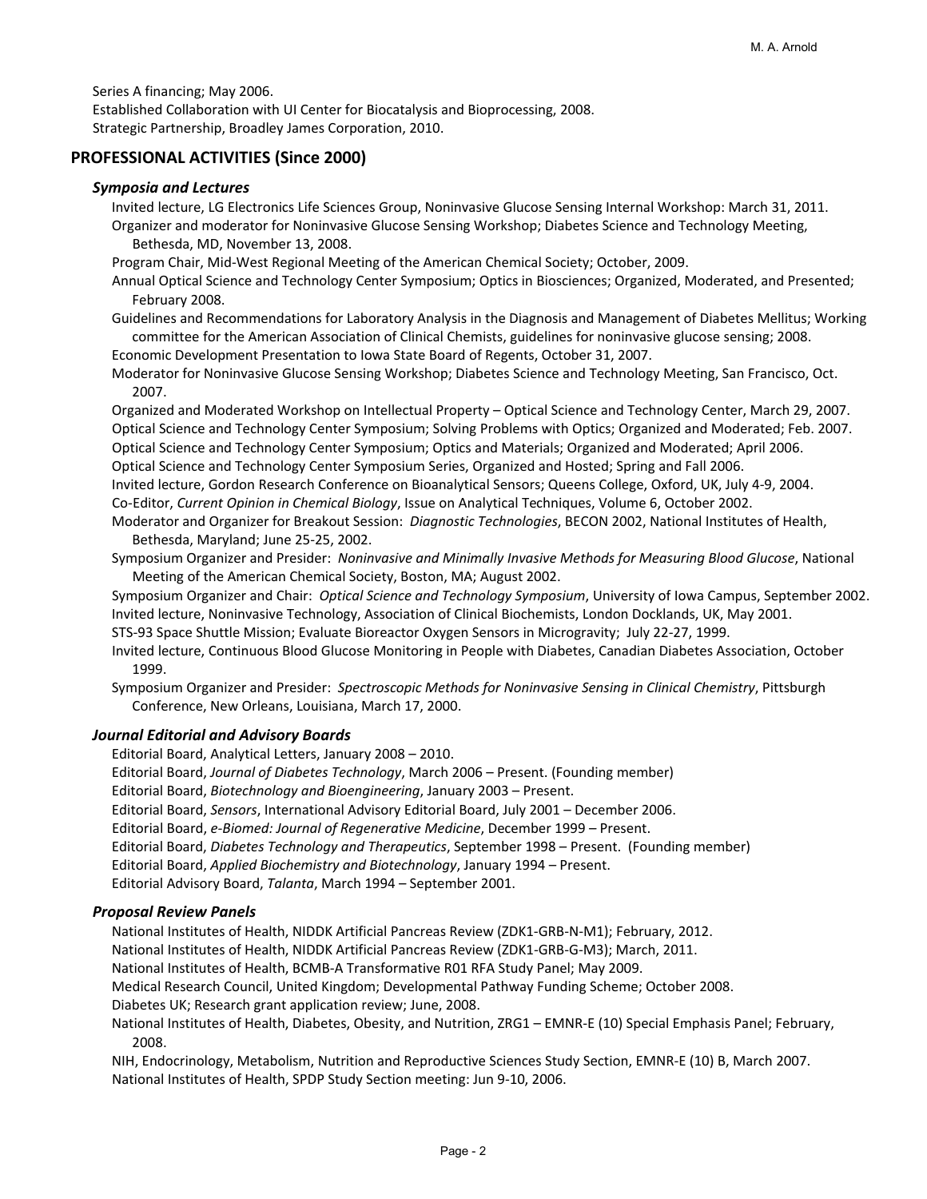Series A financing; May 2006.

Established Collaboration with UI Center for Biocatalysis and Bioprocessing, 2008. Strategic Partnership, Broadley James Corporation, 2010.

## **PROFESSIONAL ACTIVITIES (Since 2000)**

## *Symposia and Lectures*

Invited lecture, LG Electronics Life Sciences Group, Noninvasive Glucose Sensing Internal Workshop: March 31, 2011. Organizer and moderator for Noninvasive Glucose Sensing Workshop; Diabetes Science and Technology Meeting, Bethesda, MD, November 13, 2008.

Program Chair, Mid‐West Regional Meeting of the American Chemical Society; October, 2009.

Annual Optical Science and Technology Center Symposium; Optics in Biosciences; Organized, Moderated, and Presented; February 2008.

Guidelines and Recommendations for Laboratory Analysis in the Diagnosis and Management of Diabetes Mellitus; Working committee for the American Association of Clinical Chemists, guidelines for noninvasive glucose sensing; 2008.

Economic Development Presentation to Iowa State Board of Regents, October 31, 2007.

Moderator for Noninvasive Glucose Sensing Workshop; Diabetes Science and Technology Meeting, San Francisco, Oct. 2007.

Organized and Moderated Workshop on Intellectual Property – Optical Science and Technology Center, March 29, 2007. Optical Science and Technology Center Symposium; Solving Problems with Optics; Organized and Moderated; Feb. 2007. Optical Science and Technology Center Symposium; Optics and Materials; Organized and Moderated; April 2006. Optical Science and Technology Center Symposium Series, Organized and Hosted; Spring and Fall 2006.

Invited lecture, Gordon Research Conference on Bioanalytical Sensors; Queens College, Oxford, UK, July 4‐9, 2004. Co‐Editor, *Current Opinion in Chemical Biology*, Issue on Analytical Techniques, Volume 6, October 2002.

Moderator and Organizer for Breakout Session: *Diagnostic Technologies*, BECON 2002, National Institutes of Health, Bethesda, Maryland; June 25‐25, 2002.

Symposium Organizer and Presider: *Noninvasive and Minimally Invasive Methods for Measuring Blood Glucose*, National Meeting of the American Chemical Society, Boston, MA; August 2002.

Symposium Organizer and Chair: *Optical Science and Technology Symposium*, University of Iowa Campus, September 2002. Invited lecture, Noninvasive Technology, Association of Clinical Biochemists, London Docklands, UK, May 2001.

STS‐93 Space Shuttle Mission; Evaluate Bioreactor Oxygen Sensors in Microgravity; July 22‐27, 1999.

Invited lecture, Continuous Blood Glucose Monitoring in People with Diabetes, Canadian Diabetes Association, October 1999.

Symposium Organizer and Presider: *Spectroscopic Methods for Noninvasive Sensing in Clinical Chemistry*, Pittsburgh Conference, New Orleans, Louisiana, March 17, 2000.

## *Journal Editorial and Advisory Boards*

Editorial Board, Analytical Letters, January 2008 – 2010.

Editorial Board, *Journal of Diabetes Technology*, March 2006 – Present. (Founding member)

Editorial Board, *Biotechnology and Bioengineering*, January 2003 – Present.

Editorial Board, *Sensors*, International Advisory Editorial Board, July 2001 – December 2006.

Editorial Board, *e‐Biomed: Journal of Regenerative Medicine*, December 1999 – Present.

Editorial Board, *Diabetes Technology and Therapeutics*, September 1998 – Present. (Founding member)

Editorial Board, *Applied Biochemistry and Biotechnology*, January 1994 – Present.

Editorial Advisory Board, *Talanta*, March 1994 – September 2001.

## *Proposal Review Panels*

National Institutes of Health, NIDDK Artificial Pancreas Review (ZDK1‐GRB‐N‐M1); February, 2012.

National Institutes of Health, NIDDK Artificial Pancreas Review (ZDK1‐GRB‐G‐M3); March, 2011.

National Institutes of Health, BCMB‐A Transformative R01 RFA Study Panel; May 2009.

Medical Research Council, United Kingdom; Developmental Pathway Funding Scheme; October 2008.

Diabetes UK; Research grant application review; June, 2008.

National Institutes of Health, Diabetes, Obesity, and Nutrition, ZRG1 – EMNR‐E (10) Special Emphasis Panel; February, 2008.

NIH, Endocrinology, Metabolism, Nutrition and Reproductive Sciences Study Section, EMNR‐E (10) B, March 2007. National Institutes of Health, SPDP Study Section meeting: Jun 9‐10, 2006.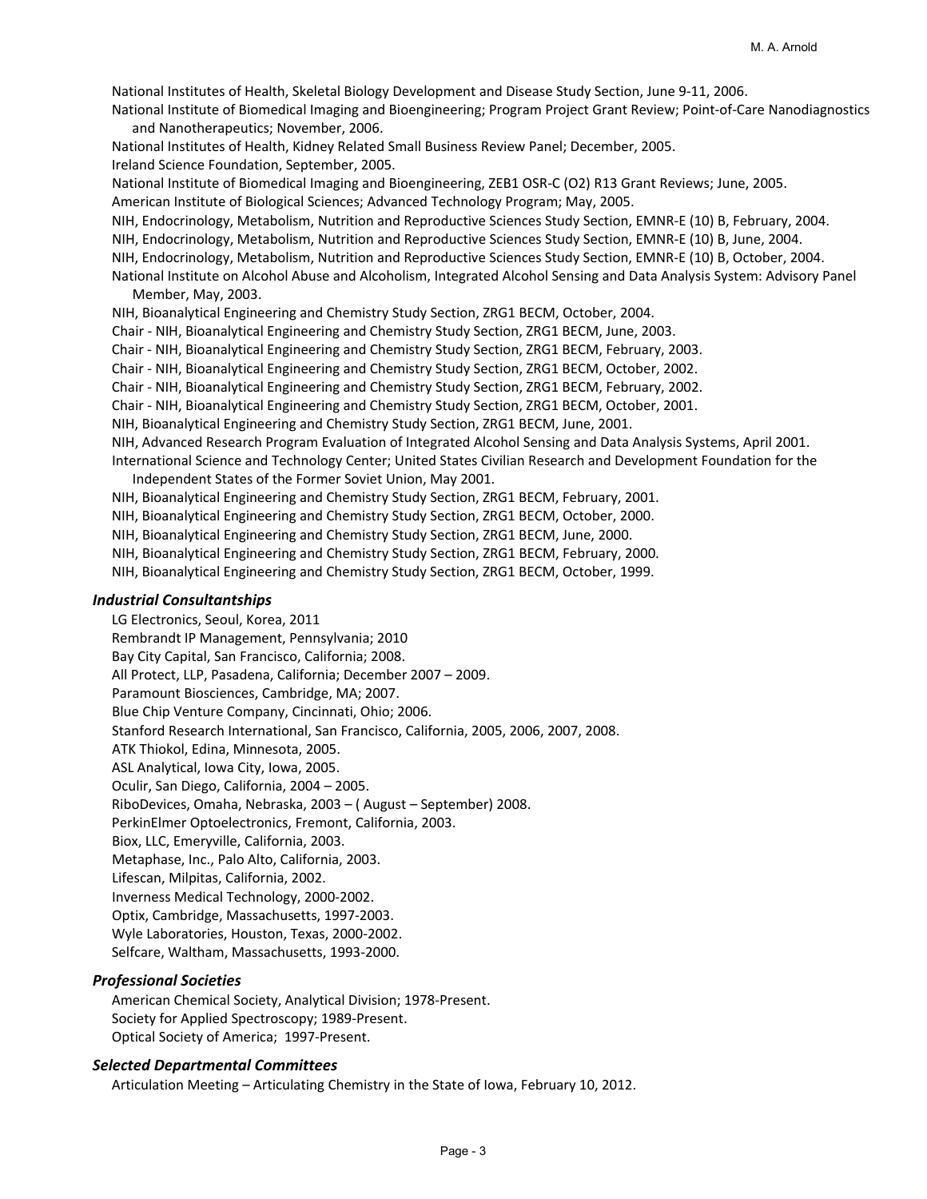National Institutes of Health, Skeletal Biology Development and Disease Study Section, June 9‐11, 2006. National Institute of Biomedical Imaging and Bioengineering; Program Project Grant Review; Point‐of‐Care Nanodiagnostics and Nanotherapeutics; November, 2006. National Institutes of Health, Kidney Related Small Business Review Panel; December, 2005. Ireland Science Foundation, September, 2005. National Institute of Biomedical Imaging and Bioengineering, ZEB1 OSR‐C (O2) R13 Grant Reviews; June, 2005. American Institute of Biological Sciences; Advanced Technology Program; May, 2005. NIH, Endocrinology, Metabolism, Nutrition and Reproductive Sciences Study Section, EMNR‐E (10) B, February, 2004. NIH, Endocrinology, Metabolism, Nutrition and Reproductive Sciences Study Section, EMNR‐E (10) B, June, 2004. NIH, Endocrinology, Metabolism, Nutrition and Reproductive Sciences Study Section, EMNR‐E (10) B, October, 2004. National Institute on Alcohol Abuse and Alcoholism, Integrated Alcohol Sensing and Data Analysis System: Advisory Panel Member, May, 2003. NIH, Bioanalytical Engineering and Chemistry Study Section, ZRG1 BECM, October, 2004. Chair ‐ NIH, Bioanalytical Engineering and Chemistry Study Section, ZRG1 BECM, June, 2003. Chair ‐ NIH, Bioanalytical Engineering and Chemistry Study Section, ZRG1 BECM, February, 2003. Chair ‐ NIH, Bioanalytical Engineering and Chemistry Study Section, ZRG1 BECM, October, 2002. Chair ‐ NIH, Bioanalytical Engineering and Chemistry Study Section, ZRG1 BECM, February, 2002. Chair ‐ NIH, Bioanalytical Engineering and Chemistry Study Section, ZRG1 BECM, October, 2001. NIH, Bioanalytical Engineering and Chemistry Study Section, ZRG1 BECM, June, 2001. NIH, Advanced Research Program Evaluation of Integrated Alcohol Sensing and Data Analysis Systems, April 2001. International Science and Technology Center; United States Civilian Research and Development Foundation for the Independent States of the Former Soviet Union, May 2001. NIH, Bioanalytical Engineering and Chemistry Study Section, ZRG1 BECM, February, 2001. NIH, Bioanalytical Engineering and Chemistry Study Section, ZRG1 BECM, October, 2000. NIH, Bioanalytical Engineering and Chemistry Study Section, ZRG1 BECM, June, 2000. NIH, Bioanalytical Engineering and Chemistry Study Section, ZRG1 BECM, February, 2000. NIH, Bioanalytical Engineering and Chemistry Study Section, ZRG1 BECM, October, 1999.

#### *Industrial Consultantships*

LG Electronics, Seoul, Korea, 2011 Rembrandt IP Management, Pennsylvania; 2010 Bay City Capital, San Francisco, California; 2008. All Protect, LLP, Pasadena, California; December 2007 – 2009. Paramount Biosciences, Cambridge, MA; 2007. Blue Chip Venture Company, Cincinnati, Ohio; 2006. Stanford Research International, San Francisco, California, 2005, 2006, 2007, 2008. ATK Thiokol, Edina, Minnesota, 2005. ASL Analytical, Iowa City, Iowa, 2005. Oculir, San Diego, California, 2004 – 2005. RiboDevices, Omaha, Nebraska, 2003 – ( August – September) 2008. PerkinElmer Optoelectronics, Fremont, California, 2003. Biox, LLC, Emeryville, California, 2003. Metaphase, Inc., Palo Alto, California, 2003. Lifescan, Milpitas, California, 2002. Inverness Medical Technology, 2000‐2002. Optix, Cambridge, Massachusetts, 1997‐2003. Wyle Laboratories, Houston, Texas, 2000‐2002. Selfcare, Waltham, Massachusetts, 1993‐2000.

#### *Professional Societies*

American Chemical Society, Analytical Division; 1978‐Present. Society for Applied Spectroscopy; 1989‐Present. Optical Society of America; 1997‐Present.

#### *Selected Departmental Committees*

Articulation Meeting – Articulating Chemistry in the State of Iowa, February 10, 2012.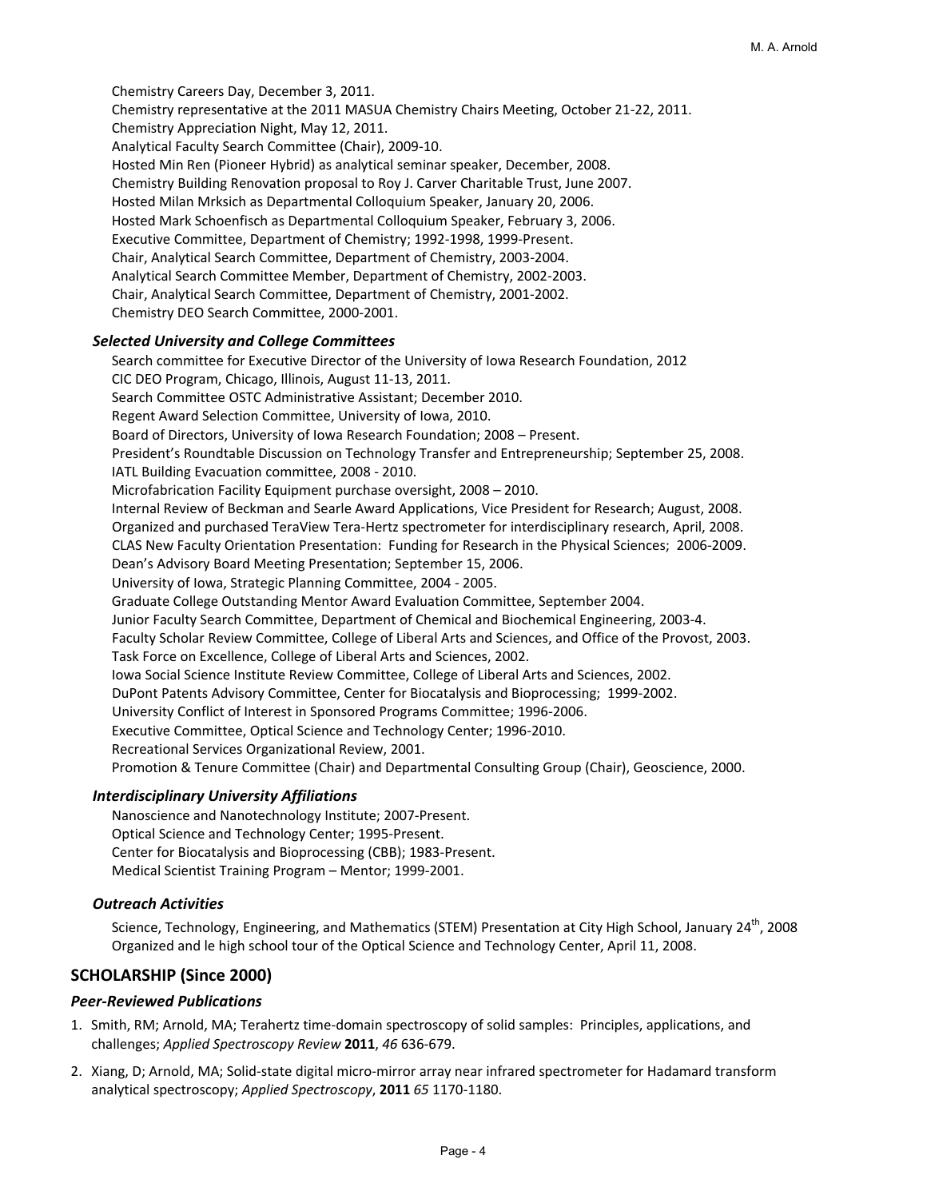Chemistry Careers Day, December 3, 2011. Chemistry representative at the 2011 MASUA Chemistry Chairs Meeting, October 21‐22, 2011. Chemistry Appreciation Night, May 12, 2011. Analytical Faculty Search Committee (Chair), 2009‐10. Hosted Min Ren (Pioneer Hybrid) as analytical seminar speaker, December, 2008. Chemistry Building Renovation proposal to Roy J. Carver Charitable Trust, June 2007. Hosted Milan Mrksich as Departmental Colloquium Speaker, January 20, 2006. Hosted Mark Schoenfisch as Departmental Colloquium Speaker, February 3, 2006. Executive Committee, Department of Chemistry; 1992‐1998, 1999‐Present. Chair, Analytical Search Committee, Department of Chemistry, 2003‐2004. Analytical Search Committee Member, Department of Chemistry, 2002‐2003. Chair, Analytical Search Committee, Department of Chemistry, 2001‐2002. Chemistry DEO Search Committee, 2000‐2001.

## *Selected University and College Committees*

Search committee for Executive Director of the University of Iowa Research Foundation, 2012 CIC DEO Program, Chicago, Illinois, August 11‐13, 2011. Search Committee OSTC Administrative Assistant; December 2010. Regent Award Selection Committee, University of Iowa, 2010. Board of Directors, University of Iowa Research Foundation; 2008 – Present. President's Roundtable Discussion on Technology Transfer and Entrepreneurship; September 25, 2008. IATL Building Evacuation committee, 2008 ‐ 2010. Microfabrication Facility Equipment purchase oversight, 2008 – 2010. Internal Review of Beckman and Searle Award Applications, Vice President for Research; August, 2008. Organized and purchased TeraView Tera‐Hertz spectrometer for interdisciplinary research, April, 2008. CLAS New Faculty Orientation Presentation: Funding for Research in the Physical Sciences; 2006‐2009. Dean's Advisory Board Meeting Presentation; September 15, 2006. University of Iowa, Strategic Planning Committee, 2004 ‐ 2005. Graduate College Outstanding Mentor Award Evaluation Committee, September 2004. Junior Faculty Search Committee, Department of Chemical and Biochemical Engineering, 2003‐4. Faculty Scholar Review Committee, College of Liberal Arts and Sciences, and Office of the Provost, 2003. Task Force on Excellence, College of Liberal Arts and Sciences, 2002. Iowa Social Science Institute Review Committee, College of Liberal Arts and Sciences, 2002. DuPont Patents Advisory Committee, Center for Biocatalysis and Bioprocessing; 1999‐2002. University Conflict of Interest in Sponsored Programs Committee; 1996‐2006. Executive Committee, Optical Science and Technology Center; 1996‐2010. Recreational Services Organizational Review, 2001. Promotion & Tenure Committee (Chair) and Departmental Consulting Group (Chair), Geoscience, 2000.

## *Interdisciplinary University Affiliations*

Nanoscience and Nanotechnology Institute; 2007‐Present. Optical Science and Technology Center; 1995‐Present. Center for Biocatalysis and Bioprocessing (CBB); 1983‐Present. Medical Scientist Training Program – Mentor; 1999‐2001.

## *Outreach Activities*

Science, Technology, Engineering, and Mathematics (STEM) Presentation at City High School, January 24<sup>th</sup>, 2008 Organized and le high school tour of the Optical Science and Technology Center, April 11, 2008.

# **SCHOLARSHIP (Since 2000)**

## *Peer‐Reviewed Publications*

- 1. Smith, RM; Arnold, MA; Terahertz time‐domain spectroscopy of solid samples: Principles, applications, and challenges; *Applied Spectroscopy Review* **2011**, *46* 636‐679.
- 2. Xiang, D; Arnold, MA; Solid‐state digital micro‐mirror array near infrared spectrometer for Hadamard transform analytical spectroscopy; *Applied Spectroscopy*, **2011** *65* 1170‐1180.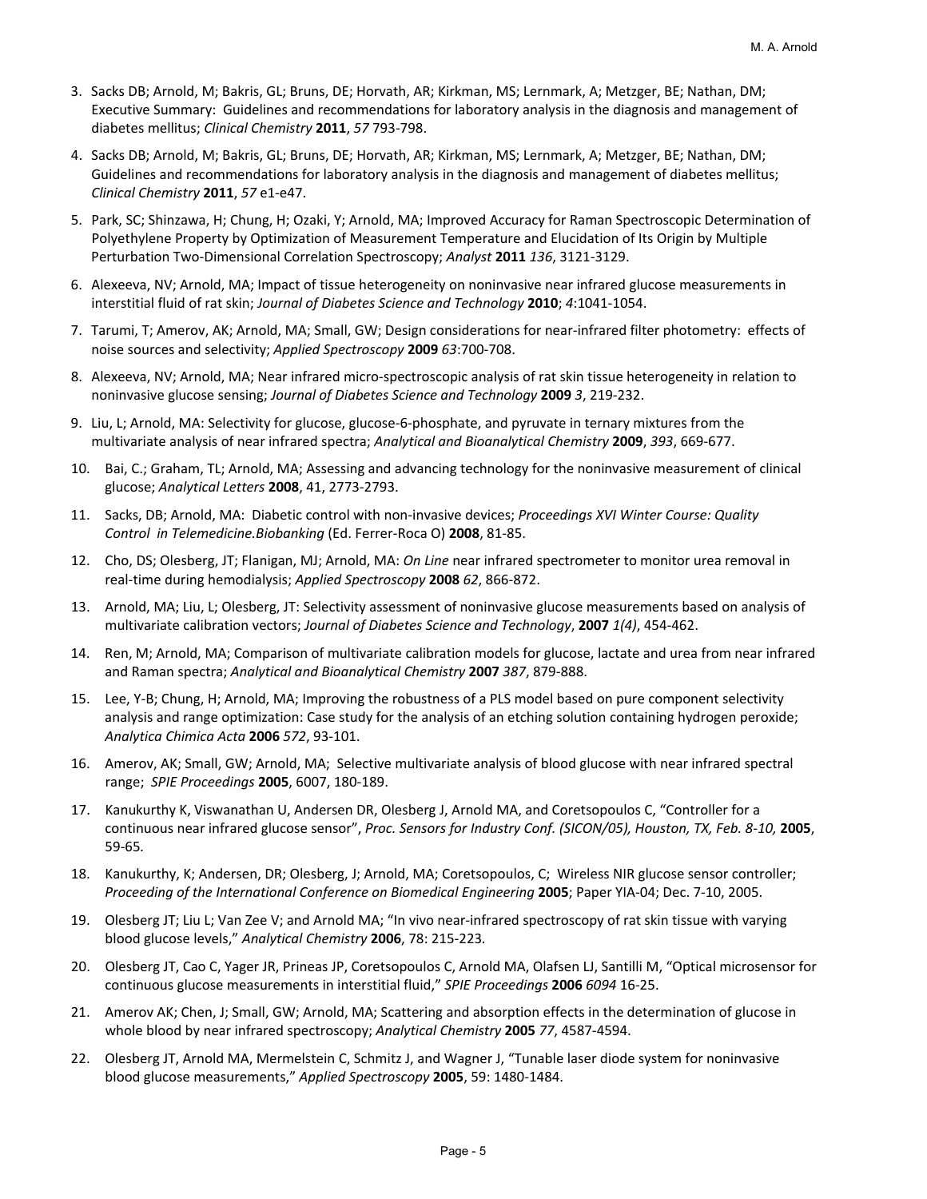- 3. Sacks DB; Arnold, M; Bakris, GL; Bruns, DE; Horvath, AR; Kirkman, MS; Lernmark, A; Metzger, BE; Nathan, DM; Executive Summary: Guidelines and recommendations for laboratory analysis in the diagnosis and management of diabetes mellitus; *Clinical Chemistry* **2011**, *57* 793‐798.
- 4. Sacks DB; Arnold, M; Bakris, GL; Bruns, DE; Horvath, AR; Kirkman, MS; Lernmark, A; Metzger, BE; Nathan, DM; Guidelines and recommendations for laboratory analysis in the diagnosis and management of diabetes mellitus; *Clinical Chemistry* **2011**, *57* e1‐e47.
- 5. Park, SC; Shinzawa, H; Chung, H; Ozaki, Y; Arnold, MA; Improved Accuracy for Raman Spectroscopic Determination of Polyethylene Property by Optimization of Measurement Temperature and Elucidation of Its Origin by Multiple Perturbation Two‐Dimensional Correlation Spectroscopy; *Analyst* **2011** *136*, 3121‐3129.
- 6. Alexeeva, NV; Arnold, MA; Impact of tissue heterogeneity on noninvasive near infrared glucose measurements in interstitial fluid of rat skin; *Journal of Diabetes Science and Technology* **2010**; *4*:1041‐1054.
- 7. Tarumi, T; Amerov, AK; Arnold, MA; Small, GW; Design considerations for near-infrared filter photometry: effects of noise sources and selectivity; *Applied Spectroscopy* **2009** *63*:700‐708.
- 8. Alexeeva, NV; Arnold, MA; Near infrared micro-spectroscopic analysis of rat skin tissue heterogeneity in relation to noninvasive glucose sensing; *Journal of Diabetes Science and Technology* **2009** *3*, 219‐232.
- 9. Liu, L; Arnold, MA: Selectivity for glucose, glucose‐6‐phosphate, and pyruvate in ternary mixtures from the multivariate analysis of near infrared spectra; *Analytical and Bioanalytical Chemistry* **2009**, *393*, 669‐677.
- 10. Bai, C.; Graham, TL; Arnold, MA; Assessing and advancing technology for the noninvasive measurement of clinical glucose; *Analytical Letters* **2008**, 41, 2773‐2793.
- 11. Sacks, DB; Arnold, MA: Diabetic control with non‐invasive devices; *Proceedings XVI Winter Course: Quality Control in Telemedicine.Biobanking* (Ed. Ferrer‐Roca O) **2008**, 81‐85.
- 12. Cho, DS; Olesberg, JT; Flanigan, MJ; Arnold, MA: *On Line* near infrared spectrometer to monitor urea removal in real‐time during hemodialysis; *Applied Spectroscopy* **2008** *62*, 866‐872.
- 13. Arnold, MA; Liu, L; Olesberg, JT: Selectivity assessment of noninvasive glucose measurements based on analysis of multivariate calibration vectors; *Journal of Diabetes Science and Technology*, **2007** *1(4)*, 454‐462.
- 14. Ren, M; Arnold, MA; Comparison of multivariate calibration models for glucose, lactate and urea from near infrared and Raman spectra; *Analytical and Bioanalytical Chemistry* **2007** *387*, 879‐888.
- 15. Lee, Y‐B; Chung, H; Arnold, MA; Improving the robustness of a PLS model based on pure component selectivity analysis and range optimization: Case study for the analysis of an etching solution containing hydrogen peroxide; *Analytica Chimica Acta* **2006** *572*, 93‐101.
- 16. Amerov, AK; Small, GW; Arnold, MA; Selective multivariate analysis of blood glucose with near infrared spectral range; *SPIE Proceedings* **2005**, 6007, 180‐189.
- 17. Kanukurthy K, Viswanathan U, Andersen DR, Olesberg J, Arnold MA, and Coretsopoulos C, "Controller for a continuous near infrared glucose sensor", *Proc. Sensors for Industry Conf. (SICON/05), Houston, TX, Feb. 8‐10,* **2005**, 59‐65*.*
- 18. Kanukurthy, K; Andersen, DR; Olesberg, J; Arnold, MA; Coretsopoulos, C; Wireless NIR glucose sensor controller; *Proceeding of the International Conference on Biomedical Engineering* **2005**; Paper YIA‐04; Dec. 7‐10, 2005.
- 19. Olesberg JT; Liu L; Van Zee V; and Arnold MA; "In vivo near-infrared spectroscopy of rat skin tissue with varying blood glucose levels," *Analytical Chemistry* **2006**, 78: 215‐223*.*
- 20. Olesberg JT, Cao C, Yager JR, Prineas JP, Coretsopoulos C, Arnold MA, Olafsen LJ, Santilli M, "Optical microsensor for continuous glucose measurements in interstitial fluid," *SPIE Proceedings* **2006** *6094* 16‐25.
- 21. Amerov AK; Chen, J; Small, GW; Arnold, MA; Scattering and absorption effects in the determination of glucose in whole blood by near infrared spectroscopy; *Analytical Chemistry* **2005** *77*, 4587‐4594.
- 22. Olesberg JT, Arnold MA, Mermelstein C, Schmitz J, and Wagner J, "Tunable laser diode system for noninvasive blood glucose measurements," *Applied Spectroscopy* **2005**, 59: 1480‐1484.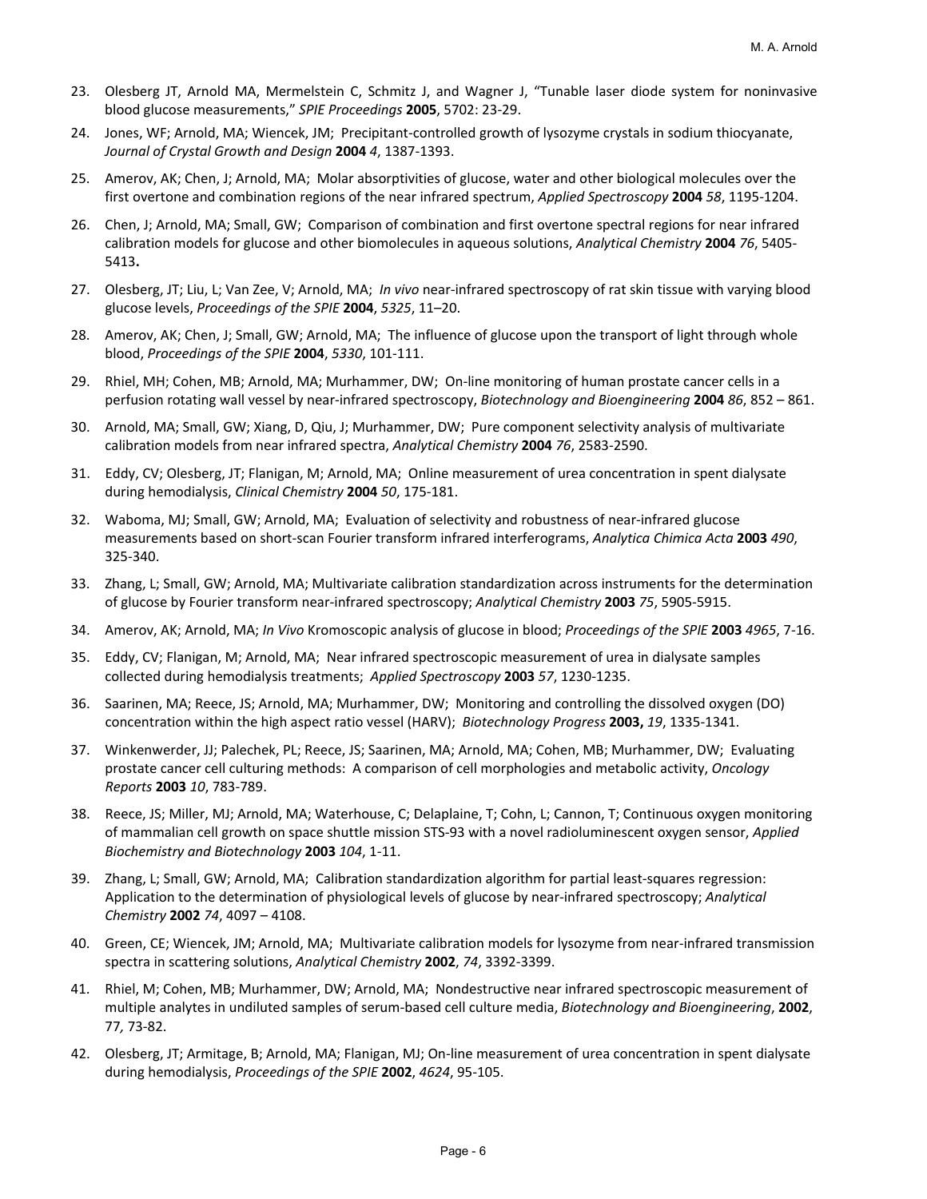- 23. Olesberg JT, Arnold MA, Mermelstein C, Schmitz J, and Wagner J, "Tunable laser diode system for noninvasive blood glucose measurements," *SPIE Proceedings* **2005**, 5702: 23‐29.
- 24. Jones, WF; Arnold, MA; Wiencek, JM; Precipitant‐controlled growth of lysozyme crystals in sodium thiocyanate, *Journal of Crystal Growth and Design* **2004** *4*, 1387‐1393.
- 25. Amerov, AK; Chen, J; Arnold, MA; Molar absorptivities of glucose, water and other biological molecules over the first overtone and combination regions of the near infrared spectrum, *Applied Spectroscopy* **2004** *58*, 1195‐1204.
- 26. Chen, J; Arnold, MA; Small, GW; Comparison of combination and first overtone spectral regions for near infrared calibration models for glucose and other biomolecules in aqueous solutions, *Analytical Chemistry* **2004** *76*, 5405‐ 5413**.**
- 27. Olesberg, JT; Liu, L; Van Zee, V; Arnold, MA; *In vivo* near‐infrared spectroscopy of rat skin tissue with varying blood glucose levels, *Proceedings of the SPIE* **2004**, *5325*, 11–20.
- 28. Amerov, AK; Chen, J; Small, GW; Arnold, MA; The influence of glucose upon the transport of light through whole blood, *Proceedings of the SPIE* **2004**, *5330*, 101‐111.
- 29. Rhiel, MH; Cohen, MB; Arnold, MA; Murhammer, DW; On‐line monitoring of human prostate cancer cells in a perfusion rotating wall vessel by near‐infrared spectroscopy, *Biotechnology and Bioengineering* **2004** *86*, 852 – 861.
- 30. Arnold, MA; Small, GW; Xiang, D, Qiu, J; Murhammer, DW; Pure component selectivity analysis of multivariate calibration models from near infrared spectra, *Analytical Chemistry* **2004** *76*, 2583‐2590.
- 31. Eddy, CV; Olesberg, JT; Flanigan, M; Arnold, MA; Online measurement of urea concentration in spent dialysate during hemodialysis, *Clinical Chemistry* **2004** *50*, 175‐181.
- 32. Waboma, MJ; Small, GW; Arnold, MA; Evaluation of selectivity and robustness of near-infrared glucose measurements based on short‐scan Fourier transform infrared interferograms, *Analytica Chimica Acta* **2003** *490*, 325‐340.
- 33. Zhang, L; Small, GW; Arnold, MA; Multivariate calibration standardization across instruments for the determination of glucose by Fourier transform near‐infrared spectroscopy; *Analytical Chemistry* **2003** *75*, 5905‐5915.
- 34. Amerov, AK; Arnold, MA; *In Vivo* Kromoscopic analysis of glucose in blood; *Proceedings of the SPIE* **2003** *4965*, 7‐16.
- 35. Eddy, CV; Flanigan, M; Arnold, MA; Near infrared spectroscopic measurement of urea in dialysate samples collected during hemodialysis treatments; *Applied Spectroscopy* **2003** *57*, 1230‐1235.
- 36. Saarinen, MA; Reece, JS; Arnold, MA; Murhammer, DW; Monitoring and controlling the dissolved oxygen (DO) concentration within the high aspect ratio vessel (HARV); *Biotechnology Progress* **2003,** *19*, 1335‐1341.
- 37. Winkenwerder, JJ; Palechek, PL; Reece, JS; Saarinen, MA; Arnold, MA; Cohen, MB; Murhammer, DW; Evaluating prostate cancer cell culturing methods: A comparison of cell morphologies and metabolic activity, *Oncology Reports* **2003** *10*, 783‐789.
- 38. Reece, JS; Miller, MJ; Arnold, MA; Waterhouse, C; Delaplaine, T; Cohn, L; Cannon, T; Continuous oxygen monitoring of mammalian cell growth on space shuttle mission STS‐93 with a novel radioluminescent oxygen sensor, *Applied Biochemistry and Biotechnology* **2003** *104*, 1‐11.
- 39. Zhang, L; Small, GW; Arnold, MA; Calibration standardization algorithm for partial least‐squares regression: Application to the determination of physiological levels of glucose by near‐infrared spectroscopy; *Analytical Chemistry* **2002** *74*, 4097 – 4108.
- 40. Green, CE; Wiencek, JM; Arnold, MA; Multivariate calibration models for lysozyme from near‐infrared transmission spectra in scattering solutions, *Analytical Chemistry* **2002**, *74*, 3392‐3399.
- 41. Rhiel, M; Cohen, MB; Murhammer, DW; Arnold, MA; Nondestructive near infrared spectroscopic measurement of multiple analytes in undiluted samples of serum‐based cell culture media, *Biotechnology and Bioengineering*, **2002**, 77*,* 73‐82.
- 42. Olesberg, JT; Armitage, B; Arnold, MA; Flanigan, MJ; On‐line measurement of urea concentration in spent dialysate during hemodialysis, *Proceedings of the SPIE* **2002**, *4624*, 95‐105.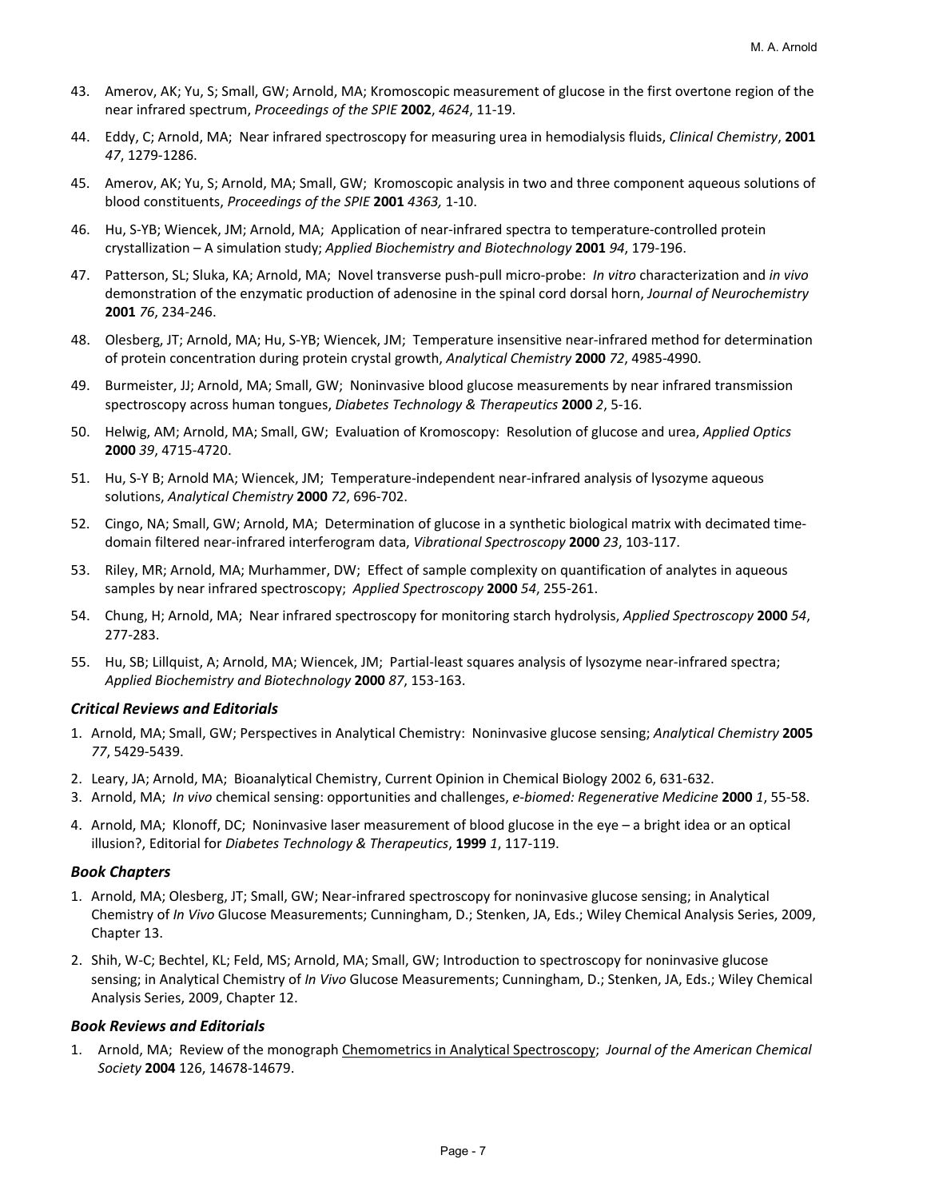- 43. Amerov, AK; Yu, S; Small, GW; Arnold, MA; Kromoscopic measurement of glucose in the first overtone region of the near infrared spectrum, *Proceedings of the SPIE* **2002**, *4624*, 11‐19.
- 44. Eddy, C; Arnold, MA; Near infrared spectroscopy for measuring urea in hemodialysis fluids, *Clinical Chemistry*, **2001** *47*, 1279‐1286.
- 45. Amerov, AK; Yu, S; Arnold, MA; Small, GW; Kromoscopic analysis in two and three component aqueous solutions of blood constituents, *Proceedings of the SPIE* **2001** *4363,* 1‐10.
- 46. Hu, S‐YB; Wiencek, JM; Arnold, MA; Application of near‐infrared spectra to temperature‐controlled protein crystallization – A simulation study; *Applied Biochemistry and Biotechnology* **2001** *94*, 179‐196.
- 47. Patterson, SL; Sluka, KA; Arnold, MA; Novel transverse push‐pull micro‐probe: *In vitro* characterization and *in vivo* demonstration of the enzymatic production of adenosine in the spinal cord dorsal horn, *Journal of Neurochemistry* **2001** *76*, 234‐246.
- 48. Olesberg, JT; Arnold, MA; Hu, S‐YB; Wiencek, JM; Temperature insensitive near‐infrared method for determination of protein concentration during protein crystal growth, *Analytical Chemistry* **2000** *72*, 4985‐4990.
- 49. Burmeister, JJ; Arnold, MA; Small, GW; Noninvasive blood glucose measurements by near infrared transmission spectroscopy across human tongues, *Diabetes Technology & Therapeutics* **2000** *2*, 5‐16.
- 50. Helwig, AM; Arnold, MA; Small, GW; Evaluation of Kromoscopy: Resolution of glucose and urea, *Applied Optics* **2000** *39*, 4715‐4720.
- 51. Hu, S‐Y B; Arnold MA; Wiencek, JM; Temperature‐independent near‐infrared analysis of lysozyme aqueous solutions, *Analytical Chemistry* **2000** *72*, 696‐702.
- 52. Cingo, NA; Small, GW; Arnold, MA; Determination of glucose in a synthetic biological matrix with decimated timedomain filtered near‐infrared interferogram data, *Vibrational Spectroscopy* **2000** *23*, 103‐117.
- 53. Riley, MR; Arnold, MA; Murhammer, DW; Effect of sample complexity on quantification of analytes in aqueous samples by near infrared spectroscopy; *Applied Spectroscopy* **2000** *54*, 255‐261.
- 54. Chung, H; Arnold, MA; Near infrared spectroscopy for monitoring starch hydrolysis, *Applied Spectroscopy* **2000** *54*, 277‐283.
- 55. Hu, SB; Lillquist, A; Arnold, MA; Wiencek, JM; Partial‐least squares analysis of lysozyme near‐infrared spectra; *Applied Biochemistry and Biotechnology* **2000** *87*, 153‐163.

#### *Critical Reviews and Editorials*

- 1. Arnold, MA; Small, GW; Perspectives in Analytical Chemistry: Noninvasive glucose sensing; *Analytical Chemistry* **2005** *77*, 5429‐5439.
- 2. Leary, JA; Arnold, MA; Bioanalytical Chemistry, Current Opinion in Chemical Biology 2002 6, 631‐632.
- 3. Arnold, MA; *In vivo* chemical sensing: opportunities and challenges, *e‐biomed: Regenerative Medicine* **2000** *1*, 55‐58.
- 4. Arnold, MA; Klonoff, DC; Noninvasive laser measurement of blood glucose in the eye a bright idea or an optical illusion?, Editorial for *Diabetes Technology & Therapeutics*, **1999** *1*, 117‐119.

## *Book Chapters*

- 1. Arnold, MA; Olesberg, JT; Small, GW; Near‐infrared spectroscopy for noninvasive glucose sensing; in Analytical Chemistry of *In Vivo* Glucose Measurements; Cunningham, D.; Stenken, JA, Eds.; Wiley Chemical Analysis Series, 2009, Chapter 13.
- 2. Shih, W‐C; Bechtel, KL; Feld, MS; Arnold, MA; Small, GW; Introduction to spectroscopy for noninvasive glucose sensing; in Analytical Chemistry of *In Vivo* Glucose Measurements; Cunningham, D.; Stenken, JA, Eds.; Wiley Chemical Analysis Series, 2009, Chapter 12.

#### *Book Reviews and Editorials*

1. Arnold, MA; Review of the monograph Chemometrics in Analytical Spectroscopy; *Journal of the American Chemical Society* **2004** 126, 14678‐14679.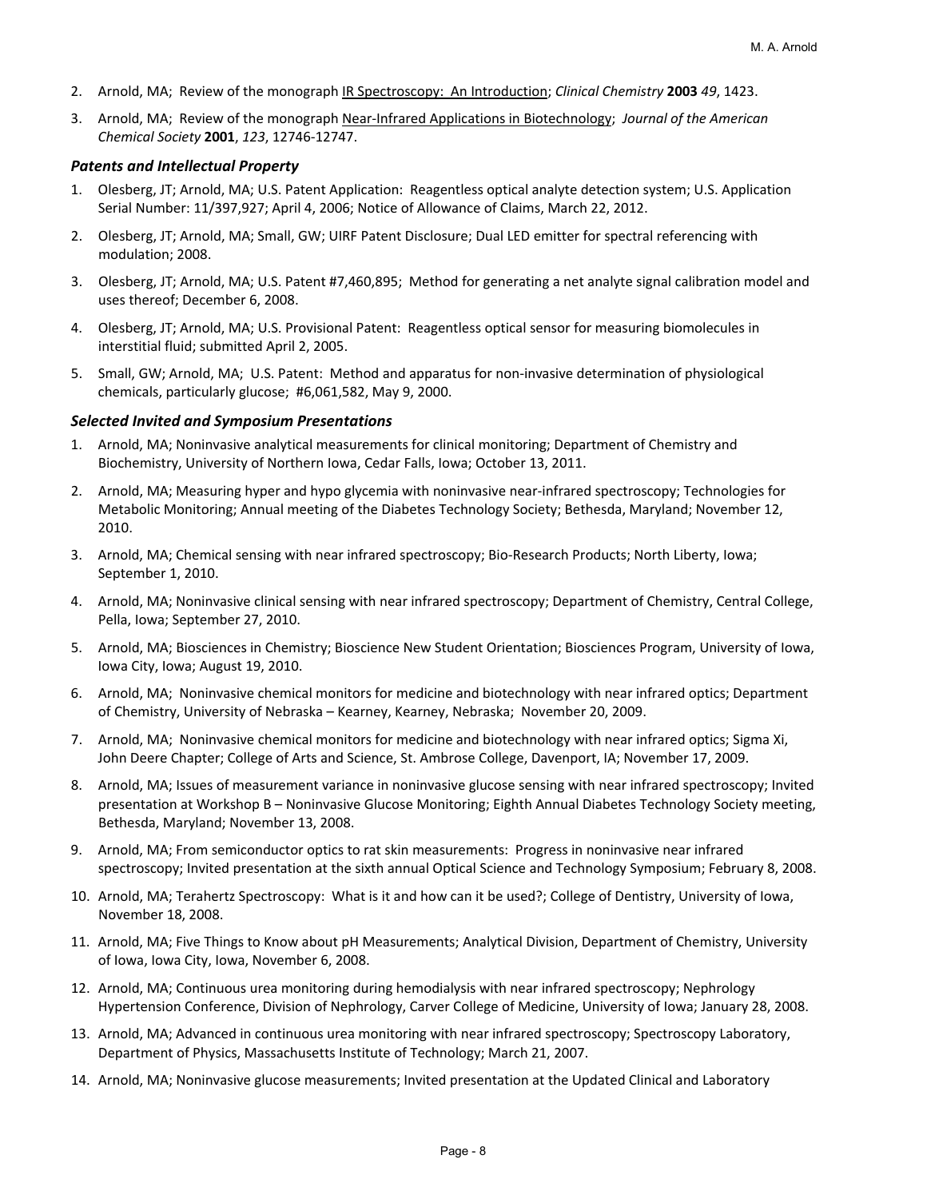- 2. Arnold, MA; Review of the monograph IR Spectroscopy: An Introduction; *Clinical Chemistry* **2003** *49*, 1423.
- 3. Arnold, MA; Review of the monograph Near‐Infrared Applications in Biotechnology; *Journal of the American Chemical Society* **2001**, *123*, 12746‐12747.

### *Patents and Intellectual Property*

- 1. Olesberg, JT; Arnold, MA; U.S. Patent Application: Reagentless optical analyte detection system; U.S. Application Serial Number: 11/397,927; April 4, 2006; Notice of Allowance of Claims, March 22, 2012.
- 2. Olesberg, JT; Arnold, MA; Small, GW; UIRF Patent Disclosure; Dual LED emitter for spectral referencing with modulation; 2008.
- 3. Olesberg, JT; Arnold, MA; U.S. Patent #7,460,895; Method for generating a net analyte signal calibration model and uses thereof; December 6, 2008.
- 4. Olesberg, JT; Arnold, MA; U.S. Provisional Patent: Reagentless optical sensor for measuring biomolecules in interstitial fluid; submitted April 2, 2005.
- 5. Small, GW; Arnold, MA; U.S. Patent: Method and apparatus for non‐invasive determination of physiological chemicals, particularly glucose; #6,061,582, May 9, 2000.

#### *Selected Invited and Symposium Presentations*

- 1. Arnold, MA; Noninvasive analytical measurements for clinical monitoring; Department of Chemistry and Biochemistry, University of Northern Iowa, Cedar Falls, Iowa; October 13, 2011.
- 2. Arnold, MA; Measuring hyper and hypo glycemia with noninvasive near‐infrared spectroscopy; Technologies for Metabolic Monitoring; Annual meeting of the Diabetes Technology Society; Bethesda, Maryland; November 12, 2010.
- 3. Arnold, MA; Chemical sensing with near infrared spectroscopy; Bio‐Research Products; North Liberty, Iowa; September 1, 2010.
- 4. Arnold, MA; Noninvasive clinical sensing with near infrared spectroscopy; Department of Chemistry, Central College, Pella, Iowa; September 27, 2010.
- 5. Arnold, MA; Biosciences in Chemistry; Bioscience New Student Orientation; Biosciences Program, University of Iowa, Iowa City, Iowa; August 19, 2010.
- 6. Arnold, MA; Noninvasive chemical monitors for medicine and biotechnology with near infrared optics; Department of Chemistry, University of Nebraska – Kearney, Kearney, Nebraska; November 20, 2009.
- 7. Arnold, MA; Noninvasive chemical monitors for medicine and biotechnology with near infrared optics; Sigma Xi, John Deere Chapter; College of Arts and Science, St. Ambrose College, Davenport, IA; November 17, 2009.
- 8. Arnold, MA; Issues of measurement variance in noninvasive glucose sensing with near infrared spectroscopy; Invited presentation at Workshop B – Noninvasive Glucose Monitoring; Eighth Annual Diabetes Technology Society meeting, Bethesda, Maryland; November 13, 2008.
- 9. Arnold, MA; From semiconductor optics to rat skin measurements: Progress in noninvasive near infrared spectroscopy; Invited presentation at the sixth annual Optical Science and Technology Symposium; February 8, 2008.
- 10. Arnold, MA; Terahertz Spectroscopy: What is it and how can it be used?; College of Dentistry, University of Iowa, November 18, 2008.
- 11. Arnold, MA; Five Things to Know about pH Measurements; Analytical Division, Department of Chemistry, University of Iowa, Iowa City, Iowa, November 6, 2008.
- 12. Arnold, MA; Continuous urea monitoring during hemodialysis with near infrared spectroscopy; Nephrology Hypertension Conference, Division of Nephrology, Carver College of Medicine, University of Iowa; January 28, 2008.
- 13. Arnold, MA; Advanced in continuous urea monitoring with near infrared spectroscopy; Spectroscopy Laboratory, Department of Physics, Massachusetts Institute of Technology; March 21, 2007.
- 14. Arnold, MA; Noninvasive glucose measurements; Invited presentation at the Updated Clinical and Laboratory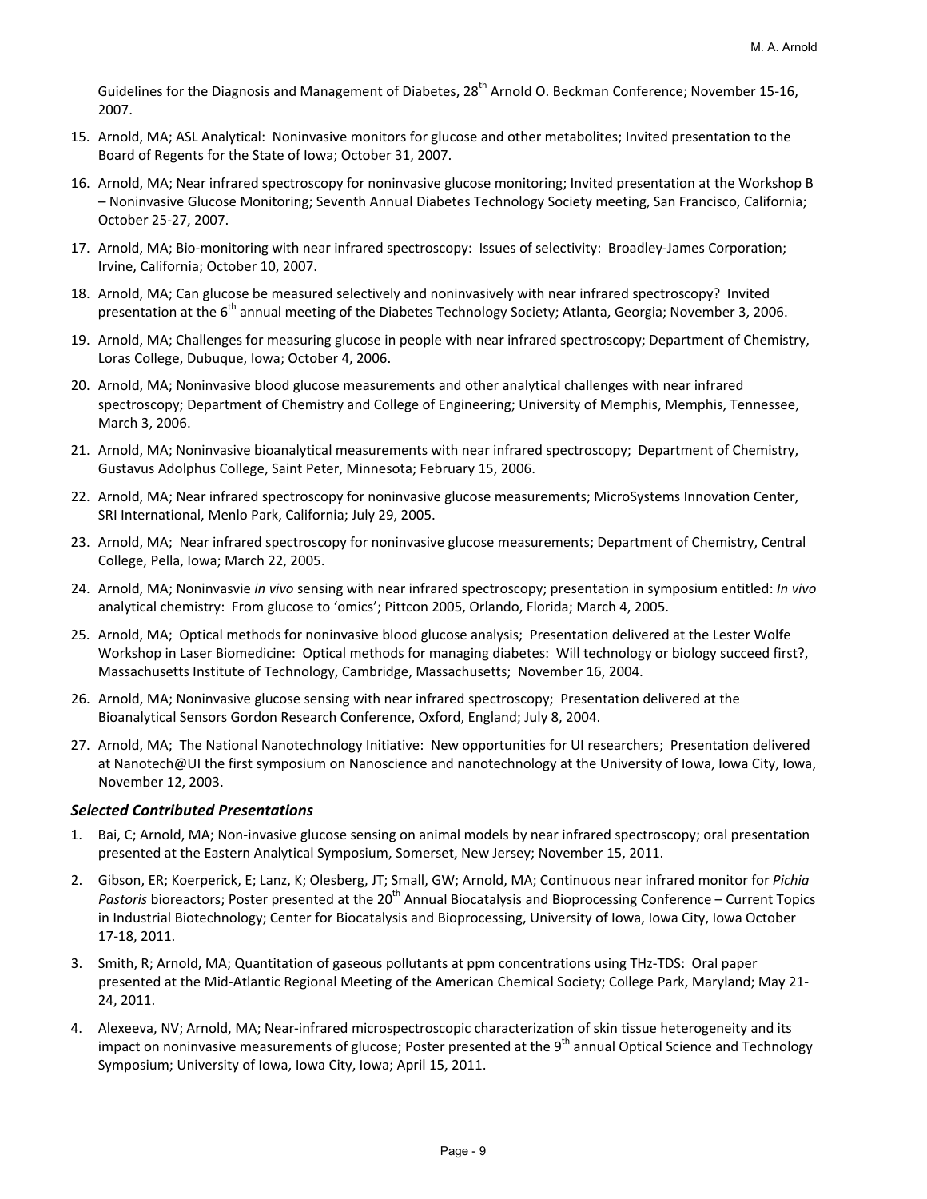Guidelines for the Diagnosis and Management of Diabetes, 28<sup>th</sup> Arnold O. Beckman Conference; November 15-16, 2007.

- 15. Arnold, MA; ASL Analytical: Noninvasive monitors for glucose and other metabolites; Invited presentation to the Board of Regents for the State of Iowa; October 31, 2007.
- 16. Arnold, MA; Near infrared spectroscopy for noninvasive glucose monitoring; Invited presentation at the Workshop B – Noninvasive Glucose Monitoring; Seventh Annual Diabetes Technology Society meeting, San Francisco, California; October 25‐27, 2007.
- 17. Arnold, MA; Bio-monitoring with near infrared spectroscopy: Issues of selectivity: Broadley-James Corporation; Irvine, California; October 10, 2007.
- 18. Arnold, MA; Can glucose be measured selectively and noninvasively with near infrared spectroscopy? Invited presentation at the 6<sup>th</sup> annual meeting of the Diabetes Technology Society; Atlanta, Georgia; November 3, 2006.
- 19. Arnold, MA; Challenges for measuring glucose in people with near infrared spectroscopy; Department of Chemistry, Loras College, Dubuque, Iowa; October 4, 2006.
- 20. Arnold, MA; Noninvasive blood glucose measurements and other analytical challenges with near infrared spectroscopy; Department of Chemistry and College of Engineering; University of Memphis, Memphis, Tennessee, March 3, 2006.
- 21. Arnold, MA; Noninvasive bioanalytical measurements with near infrared spectroscopy; Department of Chemistry, Gustavus Adolphus College, Saint Peter, Minnesota; February 15, 2006.
- 22. Arnold, MA; Near infrared spectroscopy for noninvasive glucose measurements; MicroSystems Innovation Center, SRI International, Menlo Park, California; July 29, 2005.
- 23. Arnold, MA; Near infrared spectroscopy for noninvasive glucose measurements; Department of Chemistry, Central College, Pella, Iowa; March 22, 2005.
- 24. Arnold, MA; Noninvasvie *in vivo* sensing with near infrared spectroscopy; presentation in symposium entitled: *In vivo* analytical chemistry: From glucose to 'omics'; Pittcon 2005, Orlando, Florida; March 4, 2005.
- 25. Arnold, MA; Optical methods for noninvasive blood glucose analysis; Presentation delivered at the Lester Wolfe Workshop in Laser Biomedicine: Optical methods for managing diabetes: Will technology or biology succeed first?, Massachusetts Institute of Technology, Cambridge, Massachusetts; November 16, 2004.
- 26. Arnold, MA; Noninvasive glucose sensing with near infrared spectroscopy; Presentation delivered at the Bioanalytical Sensors Gordon Research Conference, Oxford, England; July 8, 2004.
- 27. Arnold, MA; The National Nanotechnology Initiative: New opportunities for UI researchers; Presentation delivered at Nanotech@UI the first symposium on Nanoscience and nanotechnology at the University of Iowa, Iowa City, Iowa, November 12, 2003.

## *Selected Contributed Presentations*

- 1. Bai, C; Arnold, MA; Non‐invasive glucose sensing on animal models by near infrared spectroscopy; oral presentation presented at the Eastern Analytical Symposium, Somerset, New Jersey; November 15, 2011.
- 2. Gibson, ER; Koerperick, E; Lanz, K; Olesberg, JT; Small, GW; Arnold, MA; Continuous near infrared monitor for *Pichia Pastoris* bioreactors; Poster presented at the 20<sup>th</sup> Annual Biocatalysis and Bioprocessing Conference – Current Topics in Industrial Biotechnology; Center for Biocatalysis and Bioprocessing, University of Iowa, Iowa City, Iowa October 17‐18, 2011.
- 3. Smith, R; Arnold, MA; Quantitation of gaseous pollutants at ppm concentrations using THz‐TDS: Oral paper presented at the Mid‐Atlantic Regional Meeting of the American Chemical Society; College Park, Maryland; May 21‐ 24, 2011.
- 4. Alexeeva, NV; Arnold, MA; Near‐infrared microspectroscopic characterization of skin tissue heterogeneity and its impact on noninvasive measurements of glucose; Poster presented at the 9<sup>th</sup> annual Optical Science and Technology Symposium; University of Iowa, Iowa City, Iowa; April 15, 2011.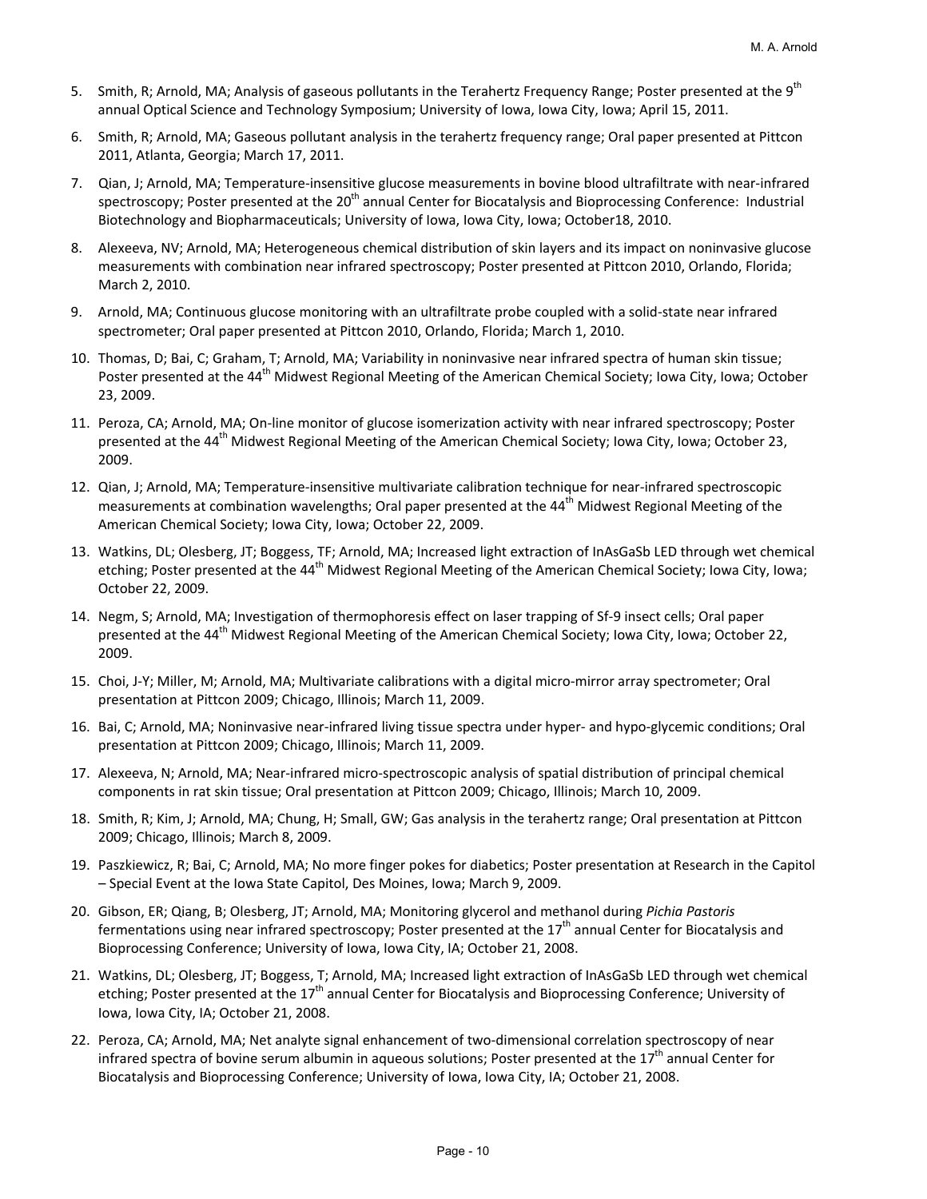- 5. Smith, R; Arnold, MA; Analysis of gaseous pollutants in the Terahertz Frequency Range; Poster presented at the 9<sup>th</sup> annual Optical Science and Technology Symposium; University of Iowa, Iowa City, Iowa; April 15, 2011.
- 6. Smith, R; Arnold, MA; Gaseous pollutant analysis in the terahertz frequency range; Oral paper presented at Pittcon 2011, Atlanta, Georgia; March 17, 2011.
- 7. Qian, J; Arnold, MA; Temperature‐insensitive glucose measurements in bovine blood ultrafiltrate with near‐infrared spectroscopy; Poster presented at the 20<sup>th</sup> annual Center for Biocatalysis and Bioprocessing Conference: Industrial Biotechnology and Biopharmaceuticals; University of Iowa, Iowa City, Iowa; October18, 2010.
- 8. Alexeeva, NV; Arnold, MA; Heterogeneous chemical distribution of skin layers and its impact on noninvasive glucose measurements with combination near infrared spectroscopy; Poster presented at Pittcon 2010, Orlando, Florida; March 2, 2010.
- 9. Arnold, MA; Continuous glucose monitoring with an ultrafiltrate probe coupled with a solid-state near infrared spectrometer; Oral paper presented at Pittcon 2010, Orlando, Florida; March 1, 2010.
- 10. Thomas, D; Bai, C; Graham, T; Arnold, MA; Variability in noninvasive near infrared spectra of human skin tissue; Poster presented at the 44<sup>th</sup> Midwest Regional Meeting of the American Chemical Society; Iowa City, Iowa; October 23, 2009.
- 11. Peroza, CA; Arnold, MA; On‐line monitor of glucose isomerization activity with near infrared spectroscopy; Poster presented at the 44<sup>th</sup> Midwest Regional Meeting of the American Chemical Society; Iowa City, Iowa; October 23, 2009.
- 12. Qian, J; Arnold, MA; Temperature‐insensitive multivariate calibration technique for near‐infrared spectroscopic measurements at combination wavelengths; Oral paper presented at the 44<sup>th</sup> Midwest Regional Meeting of the American Chemical Society; Iowa City, Iowa; October 22, 2009.
- 13. Watkins, DL; Olesberg, JT; Boggess, TF; Arnold, MA; Increased light extraction of InAsGaSb LED through wet chemical etching; Poster presented at the 44<sup>th</sup> Midwest Regional Meeting of the American Chemical Society; Iowa City, Iowa; October 22, 2009.
- 14. Negm, S; Arnold, MA; Investigation of thermophoresis effect on laser trapping of Sf‐9 insect cells; Oral paper presented at the 44<sup>th</sup> Midwest Regional Meeting of the American Chemical Society; Iowa City, Iowa; October 22, 2009.
- 15. Choi, J-Y; Miller, M; Arnold, MA; Multivariate calibrations with a digital micro-mirror array spectrometer; Oral presentation at Pittcon 2009; Chicago, Illinois; March 11, 2009.
- 16. Bai, C; Arnold, MA; Noninvasive near‐infrared living tissue spectra under hyper‐ and hypo‐glycemic conditions; Oral presentation at Pittcon 2009; Chicago, Illinois; March 11, 2009.
- 17. Alexeeva, N; Arnold, MA; Near‐infrared micro‐spectroscopic analysis of spatial distribution of principal chemical components in rat skin tissue; Oral presentation at Pittcon 2009; Chicago, Illinois; March 10, 2009.
- 18. Smith, R; Kim, J; Arnold, MA; Chung, H; Small, GW; Gas analysis in the terahertz range; Oral presentation at Pittcon 2009; Chicago, Illinois; March 8, 2009.
- 19. Paszkiewicz, R; Bai, C; Arnold, MA; No more finger pokes for diabetics; Poster presentation at Research in the Capitol – Special Event at the Iowa State Capitol, Des Moines, Iowa; March 9, 2009.
- 20. Gibson, ER; Qiang, B; Olesberg, JT; Arnold, MA; Monitoring glycerol and methanol during *Pichia Pastoris* fermentations using near infrared spectroscopy; Poster presented at the  $17<sup>th</sup>$  annual Center for Biocatalysis and Bioprocessing Conference; University of Iowa, Iowa City, IA; October 21, 2008.
- 21. Watkins, DL; Olesberg, JT; Boggess, T; Arnold, MA; Increased light extraction of InAsGaSb LED through wet chemical etching; Poster presented at the 17<sup>th</sup> annual Center for Biocatalysis and Bioprocessing Conference; University of Iowa, Iowa City, IA; October 21, 2008.
- 22. Peroza, CA; Arnold, MA; Net analyte signal enhancement of two-dimensional correlation spectroscopy of near infrared spectra of bovine serum albumin in aqueous solutions; Poster presented at the 17<sup>th</sup> annual Center for Biocatalysis and Bioprocessing Conference; University of Iowa, Iowa City, IA; October 21, 2008.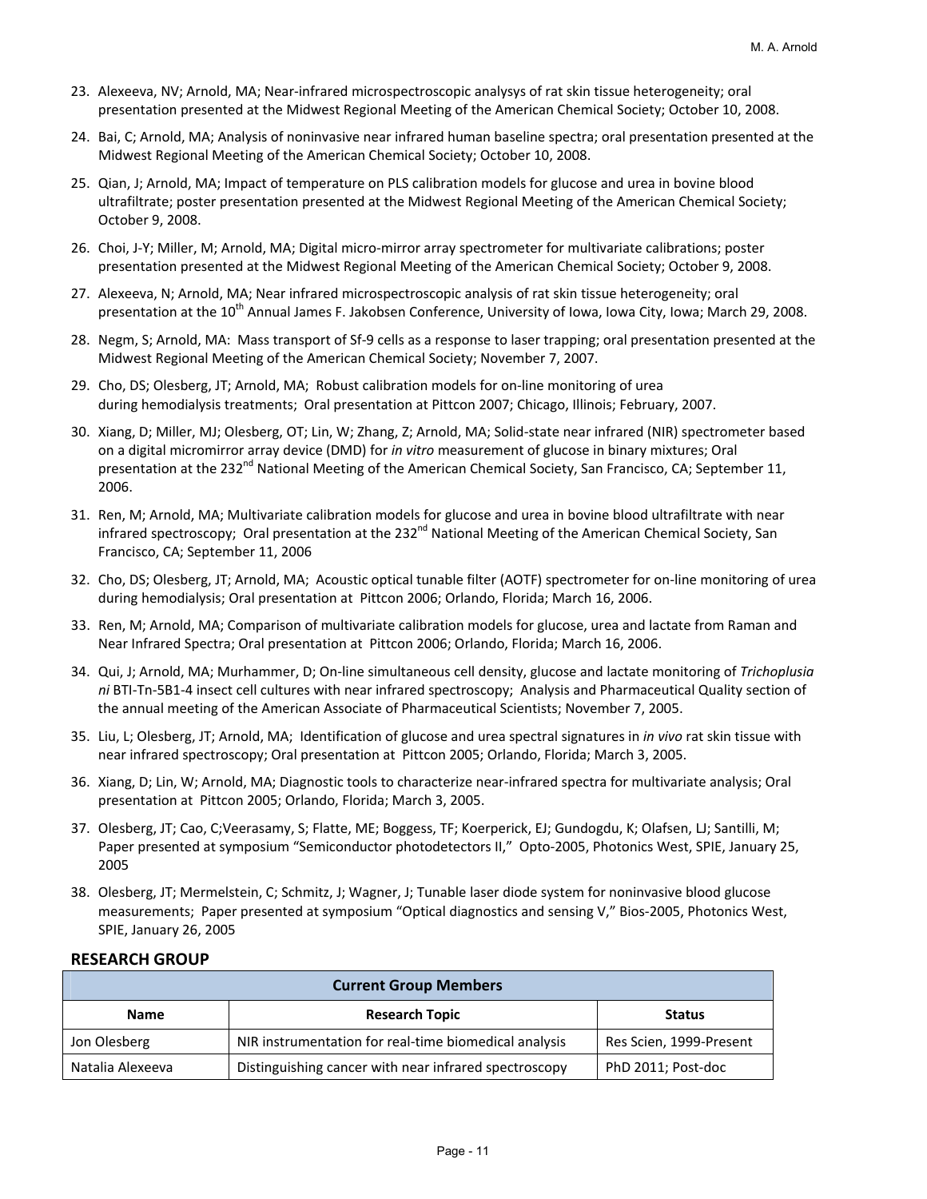- 23. Alexeeva, NV; Arnold, MA; Near‐infrared microspectroscopic analysys of rat skin tissue heterogeneity; oral presentation presented at the Midwest Regional Meeting of the American Chemical Society; October 10, 2008.
- 24. Bai, C; Arnold, MA; Analysis of noninvasive near infrared human baseline spectra; oral presentation presented at the Midwest Regional Meeting of the American Chemical Society; October 10, 2008.
- 25. Qian, J; Arnold, MA; Impact of temperature on PLS calibration models for glucose and urea in bovine blood ultrafiltrate; poster presentation presented at the Midwest Regional Meeting of the American Chemical Society; October 9, 2008.
- 26. Choi, J‐Y; Miller, M; Arnold, MA; Digital micro‐mirror array spectrometer for multivariate calibrations; poster presentation presented at the Midwest Regional Meeting of the American Chemical Society; October 9, 2008.
- 27. Alexeeva, N; Arnold, MA; Near infrared microspectroscopic analysis of rat skin tissue heterogeneity; oral presentation at the 10<sup>th</sup> Annual James F. Jakobsen Conference, University of Iowa, Iowa City, Iowa; March 29, 2008.
- 28. Negm, S; Arnold, MA: Mass transport of Sf‐9 cells as a response to laser trapping; oral presentation presented at the Midwest Regional Meeting of the American Chemical Society; November 7, 2007.
- 29. Cho, DS; Olesberg, JT; Arnold, MA; Robust calibration models for on-line monitoring of urea during hemodialysis treatments; Oral presentation at Pittcon 2007; Chicago, Illinois; February, 2007.
- 30. Xiang, D; Miller, MJ; Olesberg, OT; Lin, W; Zhang, Z; Arnold, MA; Solid‐state near infrared (NIR) spectrometer based on a digital micromirror array device (DMD) for *in vitro* measurement of glucose in binary mixtures; Oral presentation at the 232<sup>nd</sup> National Meeting of the American Chemical Society, San Francisco, CA; September 11, 2006.
- 31. Ren, M; Arnold, MA; Multivariate calibration models for glucose and urea in bovine blood ultrafiltrate with near infrared spectroscopy; Oral presentation at the 232<sup>nd</sup> National Meeting of the American Chemical Society, San Francisco, CA; September 11, 2006
- 32. Cho, DS; Olesberg, JT; Arnold, MA; Acoustic optical tunable filter (AOTF) spectrometer for on‐line monitoring of urea during hemodialysis; Oral presentation at Pittcon 2006; Orlando, Florida; March 16, 2006.
- 33. Ren, M; Arnold, MA; Comparison of multivariate calibration models for glucose, urea and lactate from Raman and Near Infrared Spectra; Oral presentation at Pittcon 2006; Orlando, Florida; March 16, 2006.
- 34. Qui, J; Arnold, MA; Murhammer, D; On‐line simultaneous cell density, glucose and lactate monitoring of *Trichoplusia ni* BTI‐Tn‐5B1‐4 insect cell cultures with near infrared spectroscopy; Analysis and Pharmaceutical Quality section of the annual meeting of the American Associate of Pharmaceutical Scientists; November 7, 2005.
- 35. Liu, L; Olesberg, JT; Arnold, MA; Identification of glucose and urea spectral signatures in *in vivo* rat skin tissue with near infrared spectroscopy; Oral presentation at Pittcon 2005; Orlando, Florida; March 3, 2005.
- 36. Xiang, D; Lin, W; Arnold, MA; Diagnostic tools to characterize near‐infrared spectra for multivariate analysis; Oral presentation at Pittcon 2005; Orlando, Florida; March 3, 2005.
- 37. Olesberg, JT; Cao, C;Veerasamy, S; Flatte, ME; Boggess, TF; Koerperick, EJ; Gundogdu, K; Olafsen, LJ; Santilli, M; Paper presented at symposium "Semiconductor photodetectors II," Opto-2005, Photonics West, SPIE, January 25, 2005
- 38. Olesberg, JT; Mermelstein, C; Schmitz, J; Wagner, J; Tunable laser diode system for noninvasive blood glucose measurements; Paper presented at symposium "Optical diagnostics and sensing V," Bios-2005, Photonics West, SPIE, January 26, 2005

## **RESEARCH GROUP**

| <b>Current Group Members</b> |                                                       |                         |  |  |
|------------------------------|-------------------------------------------------------|-------------------------|--|--|
| Name                         | <b>Research Topic</b>                                 | <b>Status</b>           |  |  |
| Jon Olesberg                 | NIR instrumentation for real-time biomedical analysis | Res Scien, 1999-Present |  |  |
| Natalia Alexeeva             | Distinguishing cancer with near infrared spectroscopy | PhD 2011; Post-doc      |  |  |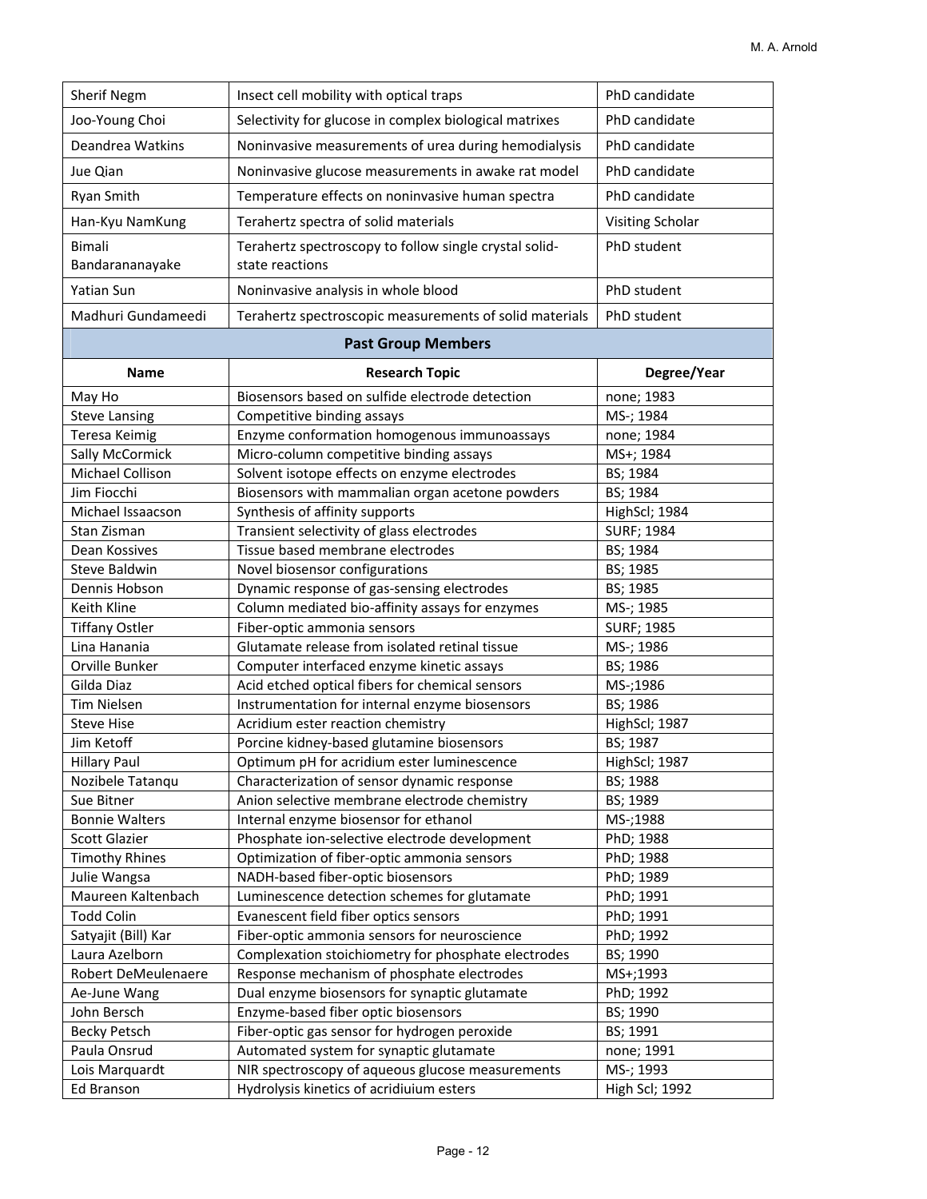| Sherif Negm           | Insect cell mobility with optical traps                                                | PhD candidate           |
|-----------------------|----------------------------------------------------------------------------------------|-------------------------|
| Joo-Young Choi        | Selectivity for glucose in complex biological matrixes                                 | PhD candidate           |
| Deandrea Watkins      | Noninvasive measurements of urea during hemodialysis                                   | PhD candidate           |
| Jue Qian              | Noninvasive glucose measurements in awake rat model                                    | PhD candidate           |
| Ryan Smith            | Temperature effects on noninvasive human spectra                                       | PhD candidate           |
| Han-Kyu NamKung       | Terahertz spectra of solid materials                                                   | Visiting Scholar        |
| <b>Bimali</b>         |                                                                                        | PhD student             |
| Bandarananayake       | Terahertz spectroscopy to follow single crystal solid-<br>state reactions              |                         |
| Yatian Sun            | Noninvasive analysis in whole blood                                                    | PhD student             |
| Madhuri Gundameedi    | Terahertz spectroscopic measurements of solid materials                                | PhD student             |
|                       | <b>Past Group Members</b>                                                              |                         |
| <b>Name</b>           | <b>Research Topic</b>                                                                  | Degree/Year             |
|                       | Biosensors based on sulfide electrode detection                                        |                         |
| May Ho                | Competitive binding assays                                                             | none; 1983<br>MS-; 1984 |
| <b>Steve Lansing</b>  |                                                                                        |                         |
| <b>Teresa Keimig</b>  | Enzyme conformation homogenous immunoassays<br>Micro-column competitive binding assays | none; 1984              |
| Sally McCormick       |                                                                                        | MS+; 1984               |
| Michael Collison      | Solvent isotope effects on enzyme electrodes                                           | BS; 1984                |
| Jim Fiocchi           | Biosensors with mammalian organ acetone powders                                        | BS; 1984                |
| Michael Issaacson     | Synthesis of affinity supports                                                         | HighScl; 1984           |
| Stan Zisman           | Transient selectivity of glass electrodes                                              | <b>SURF; 1984</b>       |
| Dean Kossives         | Tissue based membrane electrodes                                                       | BS; 1984                |
| <b>Steve Baldwin</b>  | Novel biosensor configurations                                                         | BS; 1985                |
| Dennis Hobson         | Dynamic response of gas-sensing electrodes                                             | BS; 1985                |
| Keith Kline           | Column mediated bio-affinity assays for enzymes                                        | MS-; 1985               |
| <b>Tiffany Ostler</b> | Fiber-optic ammonia sensors                                                            | <b>SURF; 1985</b>       |
| Lina Hanania          | Glutamate release from isolated retinal tissue                                         | MS-; 1986               |
| Orville Bunker        | Computer interfaced enzyme kinetic assays                                              | BS; 1986                |
| Gilda Diaz            | Acid etched optical fibers for chemical sensors                                        | MS-;1986                |
| <b>Tim Nielsen</b>    | Instrumentation for internal enzyme biosensors                                         | BS; 1986                |
| <b>Steve Hise</b>     | Acridium ester reaction chemistry                                                      | HighScl; 1987           |
| Jim Ketoff            | Porcine kidney-based glutamine biosensors                                              | BS; 1987                |
| <b>Hillary Paul</b>   | Optimum pH for acridium ester luminescence                                             | HighScl; 1987           |
| Nozibele Tatanqu      | Characterization of sensor dynamic response                                            | BS; 1988                |
| Sue Bitner            | Anion selective membrane electrode chemistry                                           | BS; 1989                |
| <b>Bonnie Walters</b> | Internal enzyme biosensor for ethanol                                                  | MS-;1988                |
| <b>Scott Glazier</b>  | Phosphate ion-selective electrode development                                          | PhD; 1988               |
| <b>Timothy Rhines</b> | Optimization of fiber-optic ammonia sensors                                            | PhD; 1988               |
| Julie Wangsa          | NADH-based fiber-optic biosensors                                                      | PhD; 1989               |
| Maureen Kaltenbach    | Luminescence detection schemes for glutamate                                           | PhD; 1991               |
| <b>Todd Colin</b>     | Evanescent field fiber optics sensors                                                  | PhD; 1991               |
| Satyajit (Bill) Kar   | Fiber-optic ammonia sensors for neuroscience                                           | PhD; 1992               |
| Laura Azelborn        | Complexation stoichiometry for phosphate electrodes                                    | BS; 1990                |
| Robert DeMeulenaere   | Response mechanism of phosphate electrodes                                             | MS+;1993                |
| Ae-June Wang          | Dual enzyme biosensors for synaptic glutamate                                          | PhD; 1992               |
| John Bersch           | Enzyme-based fiber optic biosensors                                                    | BS; 1990                |
| <b>Becky Petsch</b>   | Fiber-optic gas sensor for hydrogen peroxide                                           | BS; 1991                |
| Paula Onsrud          | Automated system for synaptic glutamate                                                | none; 1991              |
| Lois Marquardt        | NIR spectroscopy of aqueous glucose measurements                                       | MS-; 1993               |
| Ed Branson            | Hydrolysis kinetics of acridiuium esters                                               | <b>High Scl; 1992</b>   |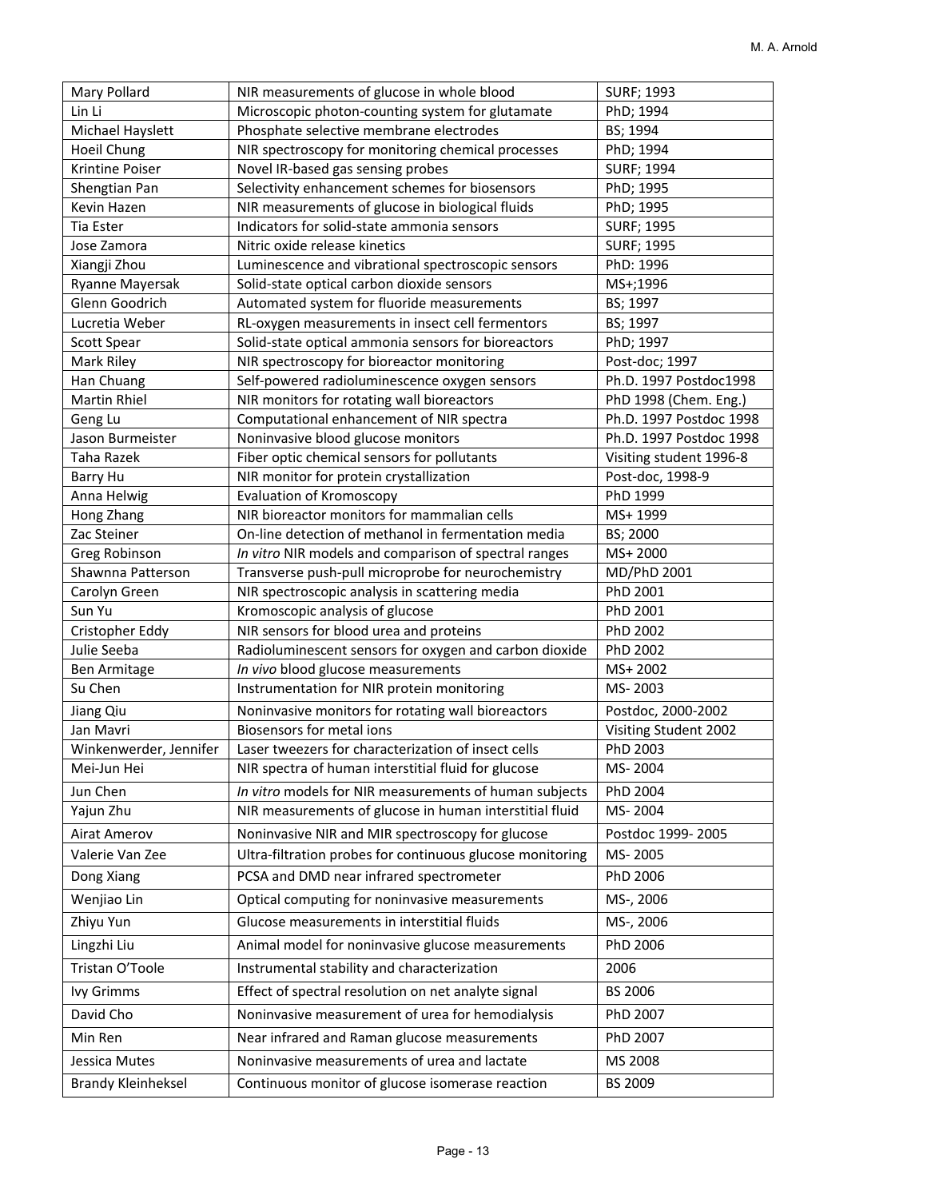| Mary Pollard                | NIR measurements of glucose in whole blood                | <b>SURF; 1993</b>       |
|-----------------------------|-----------------------------------------------------------|-------------------------|
| Lin Li                      | Microscopic photon-counting system for glutamate          | PhD; 1994               |
| Michael Hayslett            | Phosphate selective membrane electrodes                   | BS; 1994                |
| Hoeil Chung                 | NIR spectroscopy for monitoring chemical processes        | PhD; 1994               |
| Krintine Poiser             | Novel IR-based gas sensing probes                         | <b>SURF; 1994</b>       |
| Shengtian Pan               | Selectivity enhancement schemes for biosensors            | PhD; 1995               |
| Kevin Hazen                 | NIR measurements of glucose in biological fluids          | PhD; 1995               |
| Tia Ester                   | Indicators for solid-state ammonia sensors                | <b>SURF; 1995</b>       |
| Jose Zamora                 | Nitric oxide release kinetics                             | <b>SURF; 1995</b>       |
| Xiangji Zhou                | Luminescence and vibrational spectroscopic sensors        | PhD: 1996               |
| Ryanne Mayersak             | Solid-state optical carbon dioxide sensors                | MS+;1996                |
| Glenn Goodrich              | Automated system for fluoride measurements                | BS; 1997                |
| Lucretia Weber              | RL-oxygen measurements in insect cell fermentors          | BS; 1997                |
| Scott Spear                 | Solid-state optical ammonia sensors for bioreactors       | PhD; 1997               |
| Mark Riley                  | NIR spectroscopy for bioreactor monitoring                | Post-doc; 1997          |
| Han Chuang                  | Self-powered radioluminescence oxygen sensors             | Ph.D. 1997 Postdoc1998  |
| <b>Martin Rhiel</b>         | NIR monitors for rotating wall bioreactors                | PhD 1998 (Chem. Eng.)   |
|                             | Computational enhancement of NIR spectra                  | Ph.D. 1997 Postdoc 1998 |
| Geng Lu<br>Jason Burmeister | Noninvasive blood glucose monitors                        | Ph.D. 1997 Postdoc 1998 |
| Taha Razek                  | Fiber optic chemical sensors for pollutants               | Visiting student 1996-8 |
|                             | NIR monitor for protein crystallization                   | Post-doc, 1998-9        |
| Barry Hu<br>Anna Helwig     | <b>Evaluation of Kromoscopy</b>                           | PhD 1999                |
| Hong Zhang                  | NIR bioreactor monitors for mammalian cells               | MS+1999                 |
| Zac Steiner                 | On-line detection of methanol in fermentation media       | BS; 2000                |
|                             |                                                           |                         |
| Greg Robinson               | In vitro NIR models and comparison of spectral ranges     | MS+2000                 |
| Shawnna Patterson           | Transverse push-pull microprobe for neurochemistry        | MD/PhD 2001             |
| Carolyn Green<br>Sun Yu     | NIR spectroscopic analysis in scattering media            | PhD 2001<br>PhD 2001    |
|                             | Kromoscopic analysis of glucose                           |                         |
| Cristopher Eddy             | NIR sensors for blood urea and proteins                   | PhD 2002                |
| Julie Seeba                 | Radioluminescent sensors for oxygen and carbon dioxide    | PhD 2002                |
| Ben Armitage<br>Su Chen     | In vivo blood glucose measurements                        | MS+2002                 |
|                             | Instrumentation for NIR protein monitoring                | MS-2003                 |
| Jiang Qiu                   | Noninvasive monitors for rotating wall bioreactors        | Postdoc, 2000-2002      |
| Jan Mavri                   | <b>Biosensors for metal ions</b>                          | Visiting Student 2002   |
| Winkenwerder, Jennifer      | Laser tweezers for characterization of insect cells       | PhD 2003                |
| Mei-Jun Hei                 | NIR spectra of human interstitial fluid for glucose       | MS-2004                 |
| Jun Chen                    | In vitro models for NIR measurements of human subjects    | PhD 2004                |
| Yajun Zhu                   | NIR measurements of glucose in human interstitial fluid   | MS-2004                 |
| Airat Amerov                | Noninvasive NIR and MIR spectroscopy for glucose          | Postdoc 1999-2005       |
| Valerie Van Zee             | Ultra-filtration probes for continuous glucose monitoring | MS-2005                 |
| Dong Xiang                  | PCSA and DMD near infrared spectrometer                   | PhD 2006                |
| Wenjiao Lin                 | Optical computing for noninvasive measurements            | MS-, 2006               |
| Zhiyu Yun                   | Glucose measurements in interstitial fluids               | MS-, 2006               |
| Lingzhi Liu                 | Animal model for noninvasive glucose measurements         | PhD 2006                |
| Tristan O'Toole             | Instrumental stability and characterization               | 2006                    |
| Ivy Grimms                  | Effect of spectral resolution on net analyte signal       | BS 2006                 |
| David Cho                   | Noninvasive measurement of urea for hemodialysis          | PhD 2007                |
| Min Ren                     | Near infrared and Raman glucose measurements              | PhD 2007                |
| Jessica Mutes               | Noninvasive measurements of urea and lactate              | MS 2008                 |
| <b>Brandy Kleinheksel</b>   | Continuous monitor of glucose isomerase reaction          | BS 2009                 |